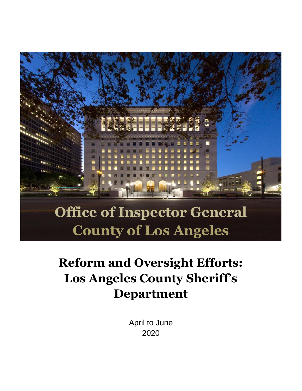

# **County of Los Angeles**

# **Reform and Oversight Efforts: Los Angeles County Sheriff's Department**

April to June 2020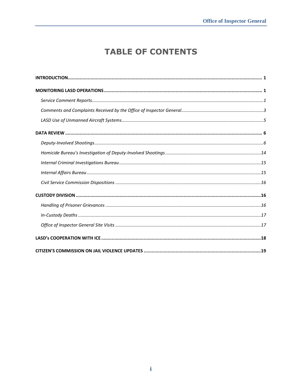## **TABLE OF CONTENTS**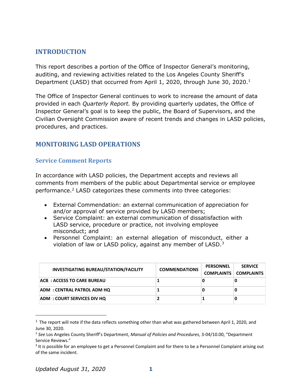#### <span id="page-2-0"></span>**INTRODUCTION**

This report describes a portion of the Office of Inspector General's monitoring, auditing, and reviewing activities related to the Los Angeles County Sheriff's Department (LASD) that occurred from April 1, 2020, through June 30, 2020.<sup>1</sup>

The Office of Inspector General continues to work to increase the amount of data provided in each *Quarterly Report.* By providing quarterly updates, the Office of Inspector General's goal is to keep the public, the Board of Supervisors, and the Civilian Oversight Commission aware of recent trends and changes in LASD policies, procedures, and practices.

#### <span id="page-2-1"></span>**MONITORING LASD OPERATIONS**

#### <span id="page-2-2"></span>**Service Comment Reports**

In accordance with LASD policies, the Department accepts and reviews all comments from members of the public about Departmental service or employee performance. $2$  LASD categorizes these comments into three categories:

- External Commendation: an external communication of appreciation for and/or approval of service provided by LASD members;
- Service Complaint: an external communication of dissatisfaction with LASD service, procedure or practice, not involving employee misconduct; and
- Personnel Complaint: an external allegation of misconduct, either a violation of law or LASD policy, against any member of LASD.<sup>3</sup>

| <b>INVESTIGATING BUREAU/STATION/FACILITY</b> | <b>COMMENDATIONS</b> | <b>PERSONNEL</b><br><b>COMPLAINTS</b> | <b>SERVICE</b><br><b>COMPLAINTS</b> |
|----------------------------------------------|----------------------|---------------------------------------|-------------------------------------|
| <b>ACB: ACCESS TO CARE BUREAU</b>            |                      | U                                     |                                     |
| ADM: CENTRAL PATROL ADM HQ                   |                      |                                       |                                     |
| <b>ADM: COURT SERVICES DIV HQ</b>            |                      |                                       |                                     |

 $1$  The report will note if the data reflects something other than what was gathered between April 1, 2020, and June 30, 2020.

<sup>2</sup> *See* Los Angeles County Sheriff's Department, *Manual of Policies and Procedures*, 3-04/10.00, "Department Service Reviews."

<sup>&</sup>lt;sup>3</sup> It is possible for an employee to get a Personnel Complaint and for there to be a Personnel Complaint arising out of the same incident.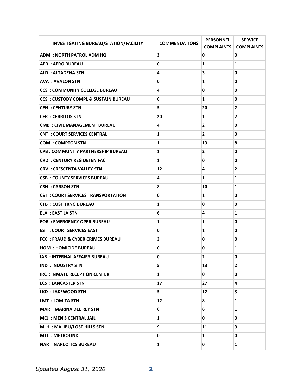| <b>INVESTIGATING BUREAU/STATION/FACILITY</b>    | <b>COMMENDATIONS</b> | <b>PERSONNEL</b><br><b>COMPLAINTS</b> | <b>SERVICE</b><br><b>COMPLAINTS</b> |
|-------------------------------------------------|----------------------|---------------------------------------|-------------------------------------|
| <b>ADM : NORTH PATROL ADM HQ</b>                | 3                    | 0                                     | 0                                   |
| <b>AER: AERO BUREAU</b>                         | 0                    | 1                                     | 1                                   |
| <b>ALD : ALTADENA STN</b>                       | 4                    | 3                                     | 0                                   |
| <b>AVA: AVALON STN</b>                          | 0                    | 1                                     | 0                                   |
| <b>CCS: COMMUNITY COLLEGE BUREAU</b>            | 4                    | 0                                     | 0                                   |
| <b>CCS : CUSTODY COMPL &amp; SUSTAIN BUREAU</b> | 0                    | 1                                     | 0                                   |
| <b>CEN: CENTURY STN</b>                         | 5                    | 20                                    | 2                                   |
| <b>CER: CERRITOS STN</b>                        | 20                   | 1                                     | 2                                   |
| <b>CMB: CIVIL MANAGEMENT BUREAU</b>             | 4                    | 2                                     | 0                                   |
| <b>CNT : COURT SERVICES CENTRAL</b>             | 1                    | $\overline{2}$                        | 0                                   |
| <b>COM: COMPTON STN</b>                         | $\mathbf{1}$         | 13                                    | 8                                   |
| <b>CPB: COMMUNITY PARTNERSHIP BUREAU</b>        | 1                    | $\mathbf{2}$                          | 0                                   |
| <b>CRD : CENTURY REG DETEN FAC</b>              | $\mathbf{1}$         | 0                                     | 0                                   |
| <b>CRV : CRESCENTA VALLEY STN</b>               | 12                   | 4                                     | $\mathbf{2}$                        |
| <b>CSB: COUNTY SERVICES BUREAU</b>              | 4                    | 1                                     | 1                                   |
| <b>CSN: CARSON STN</b>                          | 8                    | 10                                    | 1                                   |
| <b>CST : COURT SERVICES TRANSPORTATION</b>      | 0                    | 1                                     | 0                                   |
| <b>CTB: CUST TRNG BUREAU</b>                    | 1                    | 0                                     | 0                                   |
| <b>ELA: EAST LA STN</b>                         | 6                    | 4                                     | 1                                   |
| <b>EOB: EMERGENCY OPER BUREAU</b>               | 1                    | 1                                     | 0                                   |
| <b>EST : COURT SERVICES EAST</b>                | 0                    | 1                                     | 0                                   |
| <b>FCC: FRAUD &amp; CYBER CRIMES BUREAU</b>     | 3                    | 0                                     | 0                                   |
| <b>HOM: HOMICIDE BUREAU</b>                     | 0                    | 0                                     | 1                                   |
| IAB : INTERNAL AFFAIRS BUREAU                   | 0                    | $\overline{2}$                        | 0                                   |
| <b>IND : INDUSTRY STN</b>                       | 5                    | 13                                    | $\overline{2}$                      |
| IRC : INMATE RECEPTION CENTER                   | $\mathbf{1}$         | 0                                     | 0                                   |
| <b>LCS : LANCASTER STN</b>                      | 17                   | 27                                    | 4                                   |
| LKD: LAKEWOOD STN                               | 5.                   | 12                                    | 3                                   |
| <b>LMT : LOMITA STN</b>                         | 12                   | 8                                     | 1                                   |
| <b>MAR: MARINA DEL REY STN</b>                  | 6                    | 6                                     | 1                                   |
| <b>MCJ: MEN'S CENTRAL JAIL</b>                  | 1                    | 0                                     | 0                                   |
| MLH: MALIBU/LOST HILLS STN                      | 9                    | 11                                    | 9                                   |
| <b>MTL: METROLINK</b>                           | 0                    | 1                                     | 0                                   |
| <b>NAR: NARCOTICS BUREAU</b>                    | 1                    | 0                                     | 1                                   |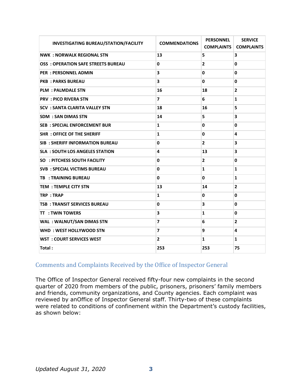| <b>INVESTIGATING BUREAU/STATION/FACILITY</b> | <b>COMMENDATIONS</b> | <b>PERSONNEL</b> | <b>SERVICE</b><br><b>COMPLAINTS COMPLAINTS</b> |
|----------------------------------------------|----------------------|------------------|------------------------------------------------|
| <b>NWK: NORWALK REGIONAL STN</b>             | 13                   | 5                | 3                                              |
| <b>OSS : OPERATION SAFE STREETS BUREAU</b>   | 0                    | $\overline{2}$   | 0                                              |
| <b>PER: PERSONNEL ADMIN</b>                  | 3                    | 0                | 0                                              |
| <b>PKB: PARKS BUREAU</b>                     | 3                    | 0                | 0                                              |
| <b>PLM: PALMDALE STN</b>                     | 16                   | 18               | $\mathbf{2}$                                   |
| <b>PRV: PICO RIVERA STN</b>                  | $\overline{ }$       | 6                | 1                                              |
| <b>SCV : SANTA CLARITA VALLEY STN</b>        | 18                   | 16               | 5                                              |
| <b>SDM : SAN DIMAS STN</b>                   | 14                   | 5                | 3                                              |
| <b>SEB: SPECIAL ENFORCEMENT BUR</b>          | 1                    | 0                | 0                                              |
| <b>SHR : OFFICE OF THE SHERIFF</b>           | $\mathbf{1}$         | $\mathbf{0}$     | 4                                              |
| <b>SIB: SHERIFF INFORMATION BUREAU</b>       | 0                    | $\overline{2}$   | 3                                              |
| <b>SLA : SOUTH LOS ANGELES STATION</b>       | 4                    | 13               | 3                                              |
| <b>SO : PITCHESS SOUTH FACILITY</b>          | 0                    | $\mathbf{2}$     | 0                                              |
| <b>SVB : SPECIAL VICTIMS BUREAU</b>          | $\mathbf{0}$         | 1                | $\mathbf{1}$                                   |
| <b>TB: TRAINING BUREAU</b>                   | 0                    | 0                | 1                                              |
| <b>TEM: TEMPLE CITY STN</b>                  | 13                   | 14               | $\overline{2}$                                 |
| TRP: TRAP                                    | $\mathbf{1}$         | 0                | 0                                              |
| <b>TSB: TRANSIT SERVICES BUREAU</b>          | $\mathbf{0}$         | 3                | $\mathbf{0}$                                   |
| <b>TT : TWIN TOWERS</b>                      | 3                    | $\mathbf{1}$     | $\mathbf{0}$                                   |
| <b>WAL: WALNUT/SAN DIMAS STN</b>             | $\overline{7}$       | 6                | $\mathbf{2}$                                   |
| WHD: WEST HOLLYWOOD STN                      | $\overline{7}$       | 9                | 4                                              |
| <b>WST: COURT SERVICES WEST</b>              | $\overline{2}$       | $\mathbf{1}$     | 1                                              |
| Total:                                       | 253                  | 253              | 75                                             |

#### <span id="page-4-0"></span>Comments and Complaints Received by the Office of Inspector General

The Office of Inspector General received fifty-four new complaints in the second quarter of 2020 from members of the public, prisoners, prisoners' family members and friends, community organizations, and County agencies. Each complaint was reviewed by anOffice of Inspector General staff. Thirty-two of these complaints were related to conditions of confinement within the Department's custody facilities, as shown below: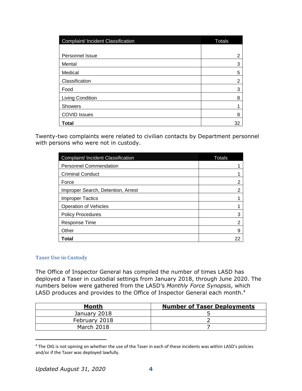| Complaint/ Incident Classification | <b>Totals</b> |
|------------------------------------|---------------|
|                                    |               |
| Personnel Issue                    | 2             |
| Mental                             | 3             |
| Medical                            | 5             |
| Classification                     | 2             |
| Food                               | 3             |
| <b>Living Condition</b>            | 8             |
| <b>Showers</b>                     |               |
| <b>COVID Issues</b>                | 8             |
| <b>Total</b>                       | 32            |

Twenty-two complaints were related to civilian contacts by Department personnel with persons who were not in custody.

| Complaint/ Incident Classification | Totals |
|------------------------------------|--------|
| <b>Personnel Commendation</b>      |        |
| <b>Criminal Conduct</b>            |        |
| Force                              | 2      |
| Improper Search, Detention, Arrest | 2      |
| <b>Improper Tactics</b>            |        |
| <b>Operation of Vehicles</b>       |        |
| <b>Policy Procedures</b>           | 3      |
| Response Time                      | 2      |
| Other                              | 9      |
| Total                              | 22     |

#### **Taser Use in Custody**

The Office of Inspector General has compiled the number of times LASD has deployed a Taser in custodial settings from January 2018, through June 2020. The numbers below were gathered from the LASD's *Monthly Force Synopsis*, which LASD produces and provides to the Office of Inspector General each month.<sup>4</sup>

| Month         | <b>Number of Taser Deployments</b> |
|---------------|------------------------------------|
| January 2018  |                                    |
| February 2018 |                                    |
| March 2018    |                                    |

<sup>&</sup>lt;sup>4</sup> The OIG is not opining on whether the use of the Taser in each of these incidents was within LASD's policies and/or if the Taser was deployed lawfully.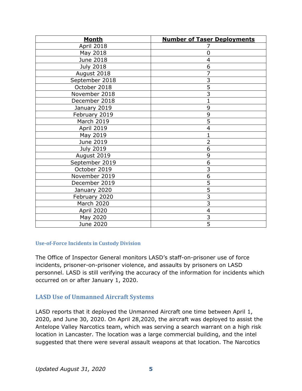| <b>Month</b>       | <b>Number of Taser Deployments</b> |
|--------------------|------------------------------------|
| April 2018         |                                    |
| May 2018           | 0                                  |
| June 2018          | 4                                  |
| <b>July 2018</b>   | 6                                  |
| August 2018        | $\overline{7}$                     |
| September 2018     | $\overline{3}$                     |
| October 2018       | $\overline{5}$                     |
| November 2018      | $\overline{3}$                     |
| December 2018      | $\mathbf{1}$                       |
| January 2019       | 9                                  |
| February 2019      | 9                                  |
| March 2019         | $\overline{5}$                     |
| April 2019         | $\overline{4}$                     |
| May 2019           | $\mathbf{1}$                       |
| June 2019          | $\overline{2}$                     |
| <b>July 2019</b>   | 6                                  |
| <b>August 2019</b> | 9                                  |
| September 2019     | 6                                  |
| October 2019       | $\overline{3}$                     |
| November 2019      | 6                                  |
| December 2019      | $\overline{5}$                     |
| January 2020       | $\overline{5}$                     |
| February 2020      | $\overline{3}$                     |
| <b>March 2020</b>  | 3                                  |
| April 2020         | $\overline{4}$                     |
| May 2020           | $\overline{3}$                     |
| June 2020          | $\overline{5}$                     |

#### **Use-of-Force Incidents in Custody Division**

The Office of Inspector General monitors LASD's staff-on-prisoner use of force incidents, prisoner-on-prisoner violence, and assaults by prisoners on LASD personnel. LASD is still verifying the accuracy of the information for incidents which occurred on or after January 1, 2020.

#### <span id="page-6-0"></span>**LASD Use of Unmanned Aircraft Systems**

LASD reports that it deployed the Unmanned Aircraft one time between April 1, 2020, and June 30, 2020. On April 28,2020, the aircraft was deployed to assist the Antelope Valley Narcotics team, which was serving a search warrant on a high risk location in Lancaster. The location was a large commercial building, and the intel suggested that there were several assault weapons at that location. The Narcotics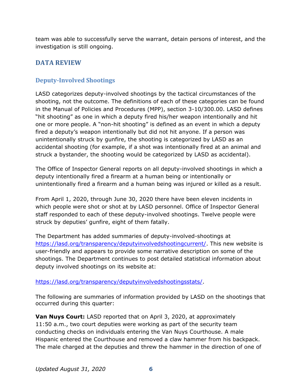team was able to successfully serve the warrant, detain persons of interest, and the investigation is still ongoing.

#### <span id="page-7-0"></span>**DATA REVIEW**

#### <span id="page-7-1"></span>**Deputy-Involved Shootings**

LASD categorizes deputy-involved shootings by the tactical circumstances of the shooting, not the outcome. The definitions of each of these categories can be found in the Manual of Policies and Procedures (MPP), section 3-10/300.00. LASD defines "hit shooting" as one in which a deputy fired his/her weapon intentionally and hit one or more people. A "non-hit shooting" is defined as an event in which a deputy fired a deputy's weapon intentionally but did not hit anyone. If a person was unintentionally struck by gunfire, the shooting is categorized by LASD as an accidental shooting (for example, if a shot was intentionally fired at an animal and struck a bystander, the shooting would be categorized by LASD as accidental).

The Office of Inspector General reports on all deputy-involved shootings in which a deputy intentionally fired a firearm at a human being or intentionally or unintentionally fired a firearm and a human being was injured or killed as a result.

From April 1, 2020, through June 30, 2020 there have been eleven incidents in which people were shot or shot at by LASD personnel. Office of Inspector General staff responded to each of these deputy-involved shootings. Twelve people were struck by deputies' gunfire, eight of them fatally.

The Department has added summaries of deputy-involved-shootings at [https://lasd.org/transparency/deputyinvolvedshootingcurrent/.](https://lasd.org/transparency/deputyinvolvedshootingcurrent/) This new website is user-friendly and appears to provide some narrative description on some of the shootings. The Department continues to post detailed statistical information about deputy involved shootings on its website at:

[https://lasd.org/transparency/deputyinvolvedshootingsstats/.](https://lasd.org/transparency/deputyinvolvedshootingsstats/)

The following are summaries of information provided by LASD on the shootings that occurred during this quarter:

**Van Nuys Court:** LASD reported that on April 3, 2020, at approximately 11:50 a.m., two court deputies were working as part of the security team conducting checks on individuals entering the Van Nuys Courthouse. A male Hispanic entered the Courthouse and removed a claw hammer from his backpack. The male charged at the deputies and threw the hammer in the direction of one of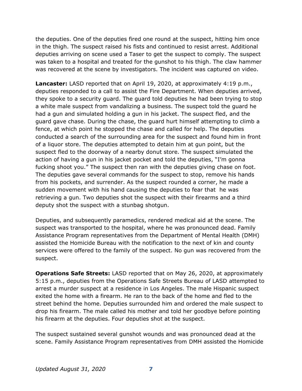the deputies. One of the deputies fired one round at the suspect, hitting him once in the thigh. The suspect raised his fists and continued to resist arrest. Additional deputies arriving on scene used a Taser to get the suspect to comply. The suspect was taken to a hospital and treated for the gunshot to his thigh. The claw hammer was recovered at the scene by investigators. The incident was captured on video.

**Lancaster:** LASD reported that on April 19, 2020, at approximately 4:19 p.m., deputies responded to a call to assist the Fire Department. When deputies arrived, they spoke to a security guard. The guard told deputies he had been trying to stop a white male suspect from vandalizing a business. The suspect told the guard he had a gun and simulated holding a gun in his jacket. The suspect fled, and the guard gave chase. During the chase, the guard hurt himself attempting to climb a fence, at which point he stopped the chase and called for help. The deputies conducted a search of the surrounding area for the suspect and found him in front of a liquor store. The deputies attempted to detain him at gun point, but the suspect fled to the doorway of a nearby donut store. The suspect simulated the action of having a gun in his jacket pocket and told the deputies, "I'm gonna fucking shoot you." The suspect then ran with the deputies giving chase on foot. The deputies gave several commands for the suspect to stop, remove his hands from his pockets, and surrender. As the suspect rounded a corner, he made a sudden movement with his hand causing the deputies to fear that he was retrieving a gun. Two deputies shot the suspect with their firearms and a third deputy shot the suspect with a stunbag shotgun.

Deputies, and subsequently paramedics, rendered medical aid at the scene. The suspect was transported to the hospital, where he was pronounced dead. Family Assistance Program representatives from the Department of Mental Health (DMH) assisted the Homicide Bureau with the notification to the next of kin and county services were offered to the family of the suspect. No gun was recovered from the suspect.

**Operations Safe Streets:** LASD reported that on May 26, 2020, at approximately 5:15 p.m., deputies from the Operations Safe Streets Bureau of LASD attempted to arrest a murder suspect at a residence in Los Angeles. The male Hispanic suspect exited the home with a firearm. He ran to the back of the home and fled to the street behind the home. Deputies surrounded him and ordered the male suspect to drop his firearm. The male called his mother and told her goodbye before pointing his firearm at the deputies. Four deputies shot at the suspect.

The suspect sustained several gunshot wounds and was pronounced dead at the scene. Family Assistance Program representatives from DMH assisted the Homicide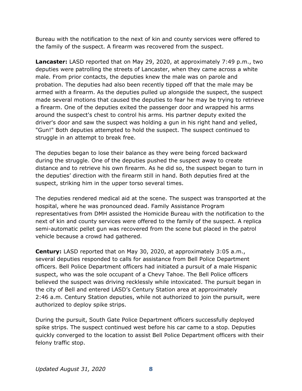Bureau with the notification to the next of kin and county services were offered to the family of the suspect. A firearm was recovered from the suspect.

**Lancaster:** LASD reported that on May 29, 2020, at approximately 7:49 p.m., two deputies were patrolling the streets of Lancaster, when they came across a white male. From prior contacts, the deputies knew the male was on parole and probation. The deputies had also been recently tipped off that the male may be armed with a firearm. As the deputies pulled up alongside the suspect, the suspect made several motions that caused the deputies to fear he may be trying to retrieve a firearm. One of the deputies exited the passenger door and wrapped his arms around the suspect's chest to control his arms. His partner deputy exited the driver's door and saw the suspect was holding a gun in his right hand and yelled, "Gun!" Both deputies attempted to hold the suspect. The suspect continued to struggle in an attempt to break free.

The deputies began to lose their balance as they were being forced backward during the struggle. One of the deputies pushed the suspect away to create distance and to retrieve his own firearm. As he did so, the suspect began to turn in the deputies' direction with the firearm still in hand. Both deputies fired at the suspect, striking him in the upper torso several times.

The deputies rendered medical aid at the scene. The suspect was transported at the hospital, where he was pronounced dead. Family Assistance Program representatives from DMH assisted the Homicide Bureau with the notification to the next of kin and county services were offered to the family of the suspect. A replica semi-automatic pellet gun was recovered from the scene but placed in the patrol vehicle because a crowd had gathered.

**Century:** LASD reported that on May 30, 2020, at approximately 3:05 a.m., several deputies responded to calls for assistance from Bell Police Department officers. Bell Police Department officers had initiated a pursuit of a male Hispanic suspect, who was the sole occupant of a Chevy Tahoe. The Bell Police officers believed the suspect was driving recklessly while intoxicated. The pursuit began in the city of Bell and entered LASD's Century Station area at approximately 2:46 a.m. Century Station deputies, while not authorized to join the pursuit, were authorized to deploy spike strips.

During the pursuit, South Gate Police Department officers successfully deployed spike strips. The suspect continued west before his car came to a stop. Deputies quickly converged to the location to assist Bell Police Department officers with their felony traffic stop.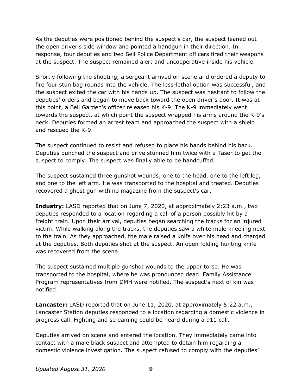As the deputies were positioned behind the suspect's car, the suspect leaned out the open driver's side window and pointed a handgun in their direction. In response, four deputies and two Bell Police Department officers fired their weapons at the suspect. The suspect remained alert and uncooperative inside his vehicle.

Shortly following the shooting, a sergeant arrived on scene and ordered a deputy to fire four stun bag rounds into the vehicle. The less-lethal option was successful, and the suspect exited the car with his hands up. The suspect was hesitant to follow the deputies' orders and began to move back toward the open driver's door. It was at this point, a Bell Garden's officer released his K-9. The K-9 immediately went towards the suspect, at which point the suspect wrapped his arms around the K-9's neck. Deputies formed an arrest team and approached the suspect with a shield and rescued the K-9.

The suspect continued to resist and refused to place his hands behind his back. Deputies punched the suspect and drive stunned him twice with a Taser to get the suspect to comply. The suspect was finally able to be handcuffed.

The suspect sustained three gunshot wounds; one to the head, one to the left leg, and one to the left arm. He was transported to the hospital and treated. Deputies recovered a ghost gun with no magazine from the suspect's car.

**Industry:** LASD reported that on June 7, 2020, at approximately 2:23 a.m., two deputies responded to a location regarding a call of a person possibly hit by a freight train. Upon their arrival, deputies began searching the tracks for an injured victim. While walking along the tracks, the deputies saw a white male kneeling next to the train. As they approached, the male raised a knife over his head and charged at the deputies. Both deputies shot at the suspect. An open folding hunting knife was recovered from the scene.

The suspect sustained multiple gunshot wounds to the upper torso. He was transported to the hospital, where he was pronounced dead. Family Assistance Program representatives from DMH were notified. The suspect's next of kin was notified.

**Lancaster:** LASD reported that on June 11, 2020, at approximately 5:22 a.m., Lancaster Station deputies responded to a location regarding a domestic violence in progress call. Fighting and screaming could be heard during a 911 call.

Deputies arrived on scene and entered the location. They immediately came into contact with a male black suspect and attempted to detain him regarding a domestic violence investigation. The suspect refused to comply with the deputies'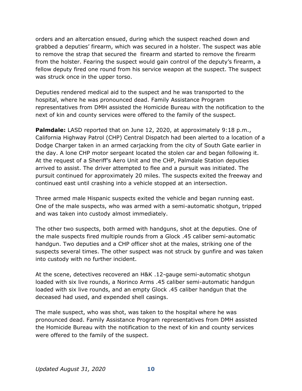orders and an altercation ensued, during which the suspect reached down and grabbed a deputies' firearm, which was secured in a holster. The suspect was able to remove the strap that secured the firearm and started to remove the firearm from the holster. Fearing the suspect would gain control of the deputy's firearm, a fellow deputy fired one round from his service weapon at the suspect. The suspect was struck once in the upper torso.

Deputies rendered medical aid to the suspect and he was transported to the hospital, where he was pronounced dead. Family Assistance Program representatives from DMH assisted the Homicide Bureau with the notification to the next of kin and county services were offered to the family of the suspect.

Palmdale: LASD reported that on June 12, 2020, at approximately 9:18 p.m., California Highway Patrol (CHP) Central Dispatch had been alerted to a location of a Dodge Charger taken in an armed carjacking from the city of South Gate earlier in the day. A lone CHP motor sergeant located the stolen car and began following it. At the request of a Sheriff's Aero Unit and the CHP, Palmdale Station deputies arrived to assist. The driver attempted to flee and a pursuit was initiated. The pursuit continued for approximately 20 miles. The suspects exited the freeway and continued east until crashing into a vehicle stopped at an intersection.

Three armed male Hispanic suspects exited the vehicle and began running east. One of the male suspects, who was armed with a semi-automatic shotgun, tripped and was taken into custody almost immediately.

The other two suspects, both armed with handguns, shot at the deputies. One of the male suspects fired multiple rounds from a Glock .45 caliber semi-automatic handgun. Two deputies and a CHP officer shot at the males, striking one of the suspects several times. The other suspect was not struck by gunfire and was taken into custody with no further incident.

At the scene, detectives recovered an H&K .12-gauge semi-automatic shotgun loaded with six live rounds, a Norinco Arms .45 caliber semi-automatic handgun loaded with six live rounds, and an empty Glock .45 caliber handgun that the deceased had used, and expended shell casings.

The male suspect, who was shot, was taken to the hospital where he was pronounced dead. Family Assistance Program representatives from DMH assisted the Homicide Bureau with the notification to the next of kin and county services were offered to the family of the suspect.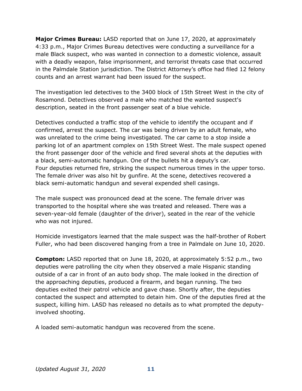**Major Crimes Bureau:** LASD reported that on June 17, 2020, at approximately 4:33 p.m., Major Crimes Bureau detectives were conducting a surveillance for a male Black suspect, who was wanted in connection to a domestic violence, assault with a deadly weapon, false imprisonment, and terrorist threats case that occurred in the Palmdale Station jurisdiction. The District Attorney's office had filed 12 felony counts and an arrest warrant had been issued for the suspect.

The investigation led detectives to the 3400 block of 15th Street West in the city of Rosamond. Detectives observed a male who matched the wanted suspect's description, seated in the front passenger seat of a blue vehicle.

Detectives conducted a traffic stop of the vehicle to identify the occupant and if confirmed, arrest the suspect. The car was being driven by an adult female, who was unrelated to the crime being investigated. The car came to a stop inside a parking lot of an apartment complex on 15th Street West. The male suspect opened the front passenger door of the vehicle and fired several shots at the deputies with a black, semi-automatic handgun. One of the bullets hit a deputy's car. Four deputies returned fire, striking the suspect numerous times in the upper torso. The female driver was also hit by gunfire. At the scene, detectives recovered a black semi-automatic handgun and several expended shell casings.

The male suspect was pronounced dead at the scene. The female driver was transported to the hospital where she was treated and released. There was a seven-year-old female (daughter of the driver), seated in the rear of the vehicle who was not injured.

Homicide investigators learned that the male suspect was the half-brother of Robert Fuller, who had been discovered hanging from a tree in Palmdale on June 10, 2020.

**Compton:** LASD reported that on June 18, 2020, at approximately 5:52 p.m., two deputies were patrolling the city when they observed a male Hispanic standing outside of a car in front of an auto body shop. The male looked in the direction of the approaching deputies, produced a firearm, and began running. The two deputies exited their patrol vehicle and gave chase. Shortly after, the deputies contacted the suspect and attempted to detain him. One of the deputies fired at the suspect, killing him. LASD has released no details as to what prompted the deputyinvolved shooting.

A loaded semi-automatic handgun was recovered from the scene.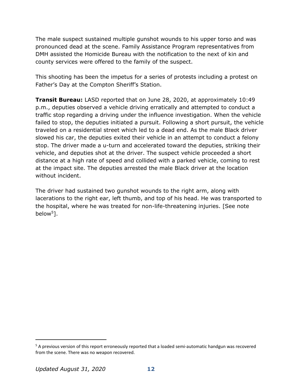The male suspect sustained multiple gunshot wounds to his upper torso and was pronounced dead at the scene. Family Assistance Program representatives from DMH assisted the Homicide Bureau with the notification to the next of kin and county services were offered to the family of the suspect.

This shooting has been the impetus for a series of protests including a protest on Father's Day at the Compton Sheriff's Station.

**Transit Bureau:** LASD reported that on June 28, 2020, at approximately 10:49 p.m., deputies observed a vehicle driving erratically and attempted to conduct a traffic stop regarding a driving under the influence investigation. When the vehicle failed to stop, the deputies initiated a pursuit. Following a short pursuit, the vehicle traveled on a residential street which led to a dead end. As the male Black driver slowed his car, the deputies exited their vehicle in an attempt to conduct a felony stop. The driver made a u-turn and accelerated toward the deputies, striking their vehicle, and deputies shot at the driver. The suspect vehicle proceeded a short distance at a high rate of speed and collided with a parked vehicle, coming to rest at the impact site. The deputies arrested the male Black driver at the location without incident.

The driver had sustained two gunshot wounds to the right arm, along with lacerations to the right ear, left thumb, and top of his head. He was transported to the hospital, where he was treated for non-life-threatening injuries. [See note below<sup>5</sup>].

<sup>&</sup>lt;sup>5</sup> A previous version of this report erroneously reported that a loaded semi-automatic handgun was recovered from the scene. There was no weapon recovered.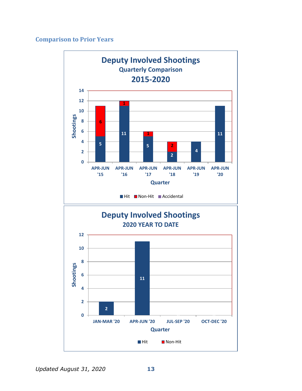#### **Comparison to Prior Years**

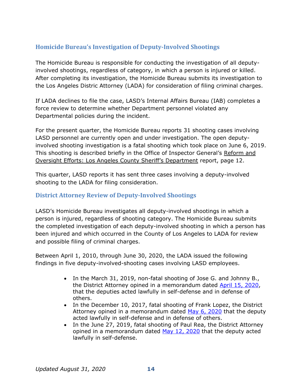#### <span id="page-15-0"></span>**Homicide Bureau's Investigation of Deputy-Involved Shootings**

The Homicide Bureau is responsible for conducting the investigation of all deputyinvolved shootings, regardless of category, in which a person is injured or killed. After completing its investigation, the Homicide Bureau submits its investigation to the Los Angeles Distric Attorney (LADA) for consideration of filing criminal charges.

If LADA declines to file the case, LASD's Internal Affairs Bureau (IAB) completes a force review to determine whether Department personnel violated any Departmental policies during the incident.

For the present quarter, the Homicide Bureau reports 31 shooting cases involving LASD personnel are currently open and under investigation. The open deputyinvolved shooting investigation is a fatal shooting which took place on June 6, 2019. This shooting is described briefly in the Office of Inspector General's Reform and Oversight Efforts: Los [Angeles County Sheriff's Department](https://oig.lacounty.gov/Portals/OIG/Reports/October%202018%20Reform%20and%20Oversight%20Efforts.pdf?ver=2018-10-31-093133-533) report, page 12.

This quarter, LASD reports it has sent three cases involving a deputy-involved shooting to the LADA for filing consideration.

#### **District Attorney Review of Deputy-Involved Shootings**

LASD's Homicide Bureau investigates all deputy-involved shootings in which a person is injured, regardless of shooting category. The Homicide Bureau submits the completed investigation of each deputy-involved shooting in which a person has been injured and which occurred in the County of Los Angeles to LADA for review and possible filing of criminal charges.

Between April 1, 2010, through June 30, 2020, the LADA issued the following findings in five deputy-involved-shooting cases involving LASD employees.

- In the March 31, 2019, non-fatal shooting of Jose G. and Johnny B., the District Attorney opined in a memorandum dated [April 15, 2020,](https://da.lacounty.gov/sites/default/files/pdf/JSID_OIS_01_2020_Johnson.pdf) that the deputies acted lawfully in self-defense and in defense of others.
- In the December 10, 2017, fatal shooting of Frank Lopez, the District Attorney opined in a memorandum dated [May 6,](https://da.lacounty.gov/sites/default/files/pdf/JSID-OIS-05-06-2020-Lopez.pdf) 2020 that the deputy acted lawfully in self-defense and in defense of others.
- In the June 27, 2019, fatal shooting of Paul Rea, the District Attorney opined in a memorandum dated [May 12, 2020](https://da.lacounty.gov/sites/default/files/pdf/JSID-OIS-05-12-2020-Rea.pdf) that the deputy acted lawfully in self-defense.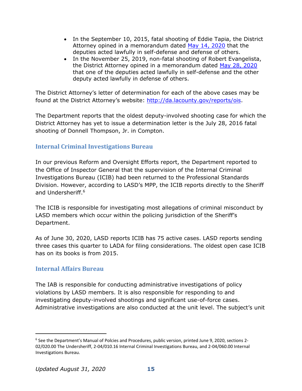- In the September 10, 2015, fatal shooting of Eddie Tapia, the District Attorney opined in a memorandum dated [May 14, 2020](https://da.lacounty.gov/sites/default/files/pdf/JSID-OIS-05-14-2020-Tapia.pdf) that the deputies acted lawfully in self-defense and defense of others.
- In the November 25, 2019, non-fatal shooting of Robert Evangelista, the District Attorney opined in a memorandum dated [May 28, 2020](https://da.lacounty.gov/sites/default/files/pdf/JSID-OIS-05-28-2020-Evangelista.pdf) that one of the deputies acted lawfully in self-defense and the other deputy acted lawfully in defense of others.

The District Attorney's letter of determination for each of the above cases may be found at the District Attorney's website: [http://da.lacounty.gov/reports/ois.](http://da.lacounty.gov/reports/ois)

The Department reports that the oldest deputy-involved shooting case for which the District Attorney has yet to issue a determination letter is the July 28, 2016 fatal shooting of Donnell Thompson, Jr. in Compton.

#### <span id="page-16-0"></span>**Internal Criminal Investigations Bureau**

In our previous Reform and Oversight Efforts report, the Department reported to the Office of Inspector General that the supervision of the Internal Criminal Investigations Bureau (ICIB) had been returned to the Professional Standards Division. However, according to LASD's MPP, the ICIB reports directly to the Sheriff and Undersheriff.<sup>6</sup>

The ICIB is responsible for investigating most allegations of criminal misconduct by LASD members which occur within the policing jurisdiction of the Sheriff's Department.

As of June 30, 2020, LASD reports ICIB has 75 active cases. LASD reports sending three cases this quarter to LADA for filing considerations. The oldest open case ICIB has on its books is from 2015.

#### <span id="page-16-1"></span>**Internal Affairs Bureau**

The IAB is responsible for conducting administrative investigations of policy violations by LASD members. It is also responsible for responding to and investigating deputy-involved shootings and significant use-of-force cases. Administrative investigations are also conducted at the unit level. The subject's unit

<sup>&</sup>lt;sup>6</sup> See the Department's Manual of Polcies and Procedures, public version, printed June 9, 2020, sections 2-02/020.00 The Undersheriff, 2-04/010.16 Internal Criminal Investigations Bureau, and 2-04/060.00 Internal Investigations Bureau.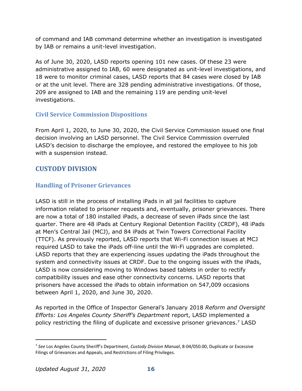of command and IAB command determine whether an investigation is investigated by IAB or remains a unit-level investigation.

As of June 30, 2020, LASD reports opening 101 new cases. Of these 23 were administrative assigned to IAB, 60 were designated as unit-level investigations, and 18 were to monitor criminal cases, LASD reports that 84 cases were closed by IAB or at the unit level. There are 328 pending administrative investigations. Of those, 209 are assigned to IAB and the remaining 119 are pending unit-level investigations.

#### <span id="page-17-0"></span>**Civil Service Commission Dispositions**

From April 1, 2020, to June 30, 2020, the Civil Service Commission issued one final decision involving an LASD personnel. The Civil Service Commission overruled LASD's decision to discharge the employee, and restored the employee to his job with a suspension instead.

#### <span id="page-17-1"></span>**CUSTODY DIVISION**

#### <span id="page-17-2"></span>**Handling of Prisoner Grievances**

LASD is still in the process of installing iPads in all jail facilities to capture information related to prisoner requests and, eventually, prisoner grievances. There are now a total of 180 installed iPads, a decrease of seven iPads since the last quarter. There are 48 iPads at Century Regional Detention Facility (CRDF), 48 iPads at Men's Central Jail (MCJ), and 84 iPads at Twin Towers Correctional Facility (TTCF). As previously reported, LASD reports that Wi-Fi connection issues at MCJ required LASD to take the iPads off-line until the Wi-Fi upgrades are completed. LASD reports that they are experiencing issues updating the iPads throughout the system and connectivity issues at CRDF. Due to the ongoing issues with the iPads, LASD is now considering moving to Windows based tablets in order to rectify compatibility issues and ease other connectivity concerns. LASD reports that prisoners have accessed the iPads to obtain information on 547,009 occasions between April 1, 2020, and June 30, 2020.

As reported in the Office of Inspector General's January 2018 *Reform and Oversight Efforts: Los Angeles County Sheriff's Department* report, LASD implemented a policy restricting the filing of duplicate and excessive prisoner grievances.<sup>7</sup> LASD

<sup>7</sup> *See* Los Angeles County Sheriff's Department, *Custody Division Manual*, 8-04/050.00, Duplicate or Excessive Filings of Grievances and Appeals, and Restrictions of Filing Privileges.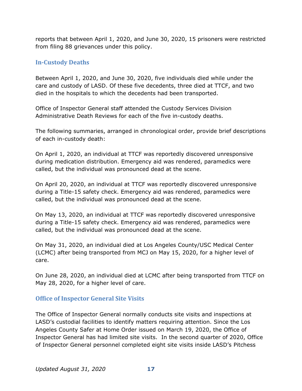reports that between April 1, 2020, and June 30, 2020, 15 prisoners were restricted from filing 88 grievances under this policy.

#### <span id="page-18-0"></span>**In-Custody Deaths**

Between April 1, 2020, and June 30, 2020, five individuals died while under the care and custody of LASD. Of these five decedents, three died at TTCF, and two died in the hospitals to which the decedents had been transported.

Office of Inspector General staff attended the Custody Services Division Administrative Death Reviews for each of the five in-custody deaths.

The following summaries, arranged in chronological order, provide brief descriptions of each in-custody death:

On April 1, 2020, an individual at TTCF was reportedly discovered unresponsive during medication distribution. Emergency aid was rendered, paramedics were called, but the individual was pronounced dead at the scene.

On April 20, 2020, an individual at TTCF was reportedly discovered unresponsive during a Title-15 safety check. Emergency aid was rendered, paramedics were called, but the individual was pronounced dead at the scene.

On May 13, 2020, an individual at TTCF was reportedly discovered unresponsive during a Title-15 safety check. Emergency aid was rendered, paramedics were called, but the individual was pronounced dead at the scene.

On May 31, 2020, an individual died at Los Angeles County/USC Medical Center (LCMC) after being transported from MCJ on May 15, 2020, for a higher level of care.

On June 28, 2020, an individual died at LCMC after being transported from TTCF on May 28, 2020, for a higher level of care.

#### <span id="page-18-1"></span>**Office of Inspector General Site Visits**

The Office of Inspector General normally conducts site visits and inspections at LASD's custodial facilities to identify matters requiring attention. Since the Los Angeles County Safer at Home Order issued on March 19, 2020, the Office of Inspector General has had limited site visits. In the second quarter of 2020, Office of Inspector General personnel completed eight site visits inside LASD's Pitchess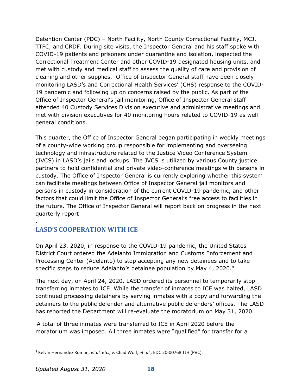Detention Center (PDC) – North Facility, North County Correctional Facility, MCJ, TTFC, and CRDF. During site visits, the Inspector General and his staff spoke with COVID-19 patients and prisoners under quarantine and isolation, inspected the Correctional Treatment Center and other COVID-19 designated housing units, and met with custody and medical staff to assess the quality of care and provision of cleaning and other supplies. Office of Inspector General staff have been closely monitoring LASD's and Correctional Health Services' (CHS) response to the COVID-19 pandemic and following up on concerns raised by the public. As part of the Office of Inspector General's jail monitoring, Office of Inspector General staff attended 40 Custody Services Division executive and administrative meetings and met with division executives for 40 monitoring hours related to COVID-19 as well general conditions.

This quarter, the Office of Inspector General began participating in weekly meetings of a county-wide working group responsible for implementing and overseeing technology and infrastructure related to the Justice Video Conference System (JVCS) in LASD's jails and lockups. The JVCS is utilized by various County justice partners to hold confidential and private video-conference meetings with persons in custody. The Office of Inspector General is currently exploring whether this system can facilitate meetings between Office of Inspector General jail monitors and persons in custody in consideration of the current COVID-19 pandemic, and other factors that could limit the Office of Inspector General's free access to facilities in the future. The Office of Inspector General will report back on progress in the next quarterly report

### <span id="page-19-0"></span>**LASD'S COOPERATION WITH ICE**

.

On April 23, 2020, in response to the COVID-19 pandemic, the United States District Court ordered the Adelanto Immigration and Customs Enforcement and Processing Center (Adelanto) to stop accepting any new detainees and to take specific steps to reduce Adelanto's detainee population by May 4, 2020.<sup>8</sup>

The next day, on April 24, 2020, LASD ordered its personnel to temporarily stop transferring inmates to ICE. While the transfer of inmates to ICE was halted, LASD continued processing detainers by serving inmates with a copy and forwarding the detainers to the public defender and alternative public defenders' offices. The LASD has reported the Department will re-evaluate the moratorium on May 31, 2020.

A total of three inmates were transferred to ICE in April 2020 before the moratorium was imposed. All three inmates were "qualified" for transfer for a

<sup>8</sup> Kelvin Hernandez Roman, *et al. etc.,* v. Chad Wolf, *et. al.,* EDC 20-00768 TJH (PVC).